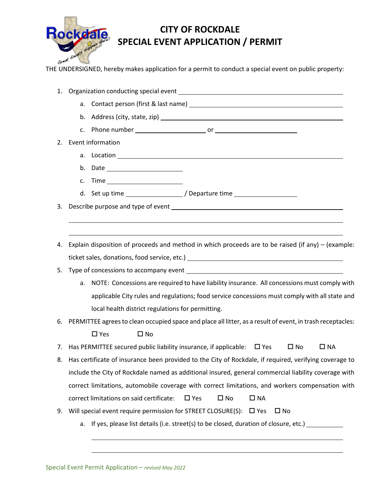

## **CITY OF ROCKDALE SPECIAL EVENT APPLICATION / PERMIT**

Great Terroric UNDERSIGNED, hereby makes application for a permit to conduct a special event on public property:<br>THE UNDERSIGNED, hereby makes application for a permit to conduct a special event on public property:

| 1. |                                                                                                             |  |  |  |  |  |  |
|----|-------------------------------------------------------------------------------------------------------------|--|--|--|--|--|--|
|    |                                                                                                             |  |  |  |  |  |  |
|    |                                                                                                             |  |  |  |  |  |  |
|    |                                                                                                             |  |  |  |  |  |  |
| 2. | Event information                                                                                           |  |  |  |  |  |  |
|    |                                                                                                             |  |  |  |  |  |  |
|    | b. Date __________________________                                                                          |  |  |  |  |  |  |
|    | Time ____________________________<br>c.                                                                     |  |  |  |  |  |  |
|    | d. Set up time ___________________/ Departure time _____________________________                            |  |  |  |  |  |  |
| 3. |                                                                                                             |  |  |  |  |  |  |
|    |                                                                                                             |  |  |  |  |  |  |
|    |                                                                                                             |  |  |  |  |  |  |
| 4. | Explain disposition of proceeds and method in which proceeds are to be raised (if any) – (example:          |  |  |  |  |  |  |
|    | ticket sales, donations, food service, etc.) ___________________________________                            |  |  |  |  |  |  |
| 5. |                                                                                                             |  |  |  |  |  |  |
|    | NOTE: Concessions are required to have liability insurance. All concessions must comply with<br>a.          |  |  |  |  |  |  |
|    | applicable City rules and regulations; food service concessions must comply with all state and              |  |  |  |  |  |  |
|    | local health district regulations for permitting.                                                           |  |  |  |  |  |  |
| 6. | PERMITTEE agrees to clean occupied space and place all litter, as a result of event, in trash receptacles:  |  |  |  |  |  |  |
|    | $\square$ Yes<br>$\Box$ No                                                                                  |  |  |  |  |  |  |
| 7. | Has PERMITTEE secured public liability insurance, if applicable: $\Box$ Yes<br>$\square$ NA<br>$\square$ No |  |  |  |  |  |  |
| 8. | Has certificate of insurance been provided to the City of Rockdale, if required, verifying coverage to      |  |  |  |  |  |  |
|    | include the City of Rockdale named as additional insured, general commercial liability coverage with        |  |  |  |  |  |  |
|    | correct limitations, automobile coverage with correct limitations, and workers compensation with            |  |  |  |  |  |  |
|    | correct limitations on said certificate:<br>$\square$ No<br>$\square$ NA<br>$\square$ Yes                   |  |  |  |  |  |  |
| 9. | Will special event require permission for STREET CLOSURE(S):<br>$\square$ No<br>$\square$ Yes               |  |  |  |  |  |  |
|    | a. If yes, please list details (i.e. street(s) to be closed, duration of closure, etc.)                     |  |  |  |  |  |  |
|    |                                                                                                             |  |  |  |  |  |  |

Special Event Permit Application – *revised May 2022*